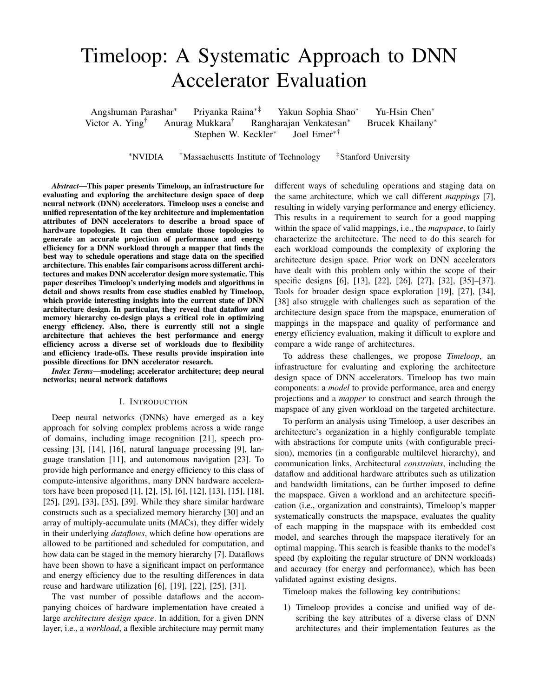# Timeloop: A Systematic Approach to DNN Accelerator Evaluation

Angshuman Parashar<sup>∗</sup> Priyanka Raina∗‡ Yakun Sophia Shao<sup>∗</sup> Yu-Hsin Chen<sup>∗</sup> Victor A. Ying† Anurag Mukkara† Rangharajan Venkatesan<sup>∗</sup> Brucek Khailany<sup>∗</sup> Stephen W. Keckler<sup>∗</sup> Joel Emer∗†

<sup>∗</sup>NVIDIA †Massachusetts Institute of Technology ‡Stanford University

*Abstract*—This paper presents Timeloop, an infrastructure for evaluating and exploring the architecture design space of deep neural network (DNN) accelerators. Timeloop uses a concise and unified representation of the key architecture and implementation attributes of DNN accelerators to describe a broad space of hardware topologies. It can then emulate those topologies to generate an accurate projection of performance and energy efficiency for a DNN workload through a mapper that finds the best way to schedule operations and stage data on the specified architecture. This enables fair comparisons across different architectures and makes DNN accelerator design more systematic. This paper describes Timeloop's underlying models and algorithms in detail and shows results from case studies enabled by Timeloop, which provide interesting insights into the current state of DNN architecture design. In particular, they reveal that dataflow and memory hierarchy co-design plays a critical role in optimizing energy efficiency. Also, there is currently still not a single architecture that achieves the best performance and energy efficiency across a diverse set of workloads due to flexibility and efficiency trade-offs. These results provide inspiration into possible directions for DNN accelerator research.

*Index Terms*—modeling; accelerator architecture; deep neural networks; neural network dataflows

#### I. INTRODUCTION

Deep neural networks (DNNs) have emerged as a key approach for solving complex problems across a wide range of domains, including image recognition [21], speech processing [3], [14], [16], natural language processing [9], language translation [11], and autonomous navigation [23]. To provide high performance and energy efficiency to this class of compute-intensive algorithms, many DNN hardware accelerators have been proposed [1], [2], [5], [6], [12], [13], [15], [18], [25], [29], [33], [35], [39]. While they share similar hardware constructs such as a specialized memory hierarchy [30] and an array of multiply-accumulate units (MACs), they differ widely in their underlying *dataflows*, which define how operations are allowed to be partitioned and scheduled for computation, and how data can be staged in the memory hierarchy [7]. Dataflows have been shown to have a significant impact on performance and energy efficiency due to the resulting differences in data reuse and hardware utilization [6], [19], [22], [25], [31].

The vast number of possible dataflows and the accompanying choices of hardware implementation have created a large *architecture design space*. In addition, for a given DNN layer, i.e., a *workload*, a flexible architecture may permit many different ways of scheduling operations and staging data on the same architecture, which we call different *mappings* [7], resulting in widely varying performance and energy efficiency. This results in a requirement to search for a good mapping within the space of valid mappings, i.e., the *mapspace*, to fairly characterize the architecture. The need to do this search for each workload compounds the complexity of exploring the architecture design space. Prior work on DNN accelerators have dealt with this problem only within the scope of their specific designs [6], [13], [22], [26], [27], [32], [35]–[37]. Tools for broader design space exploration [19], [27], [34], [38] also struggle with challenges such as separation of the architecture design space from the mapspace, enumeration of mappings in the mapspace and quality of performance and energy efficiency evaluation, making it difficult to explore and compare a wide range of architectures.

To address these challenges, we propose *Timeloop*, an infrastructure for evaluating and exploring the architecture design space of DNN accelerators. Timeloop has two main components: a *model* to provide performance, area and energy projections and a *mapper* to construct and search through the mapspace of any given workload on the targeted architecture.

To perform an analysis using Timeloop, a user describes an architecture's organization in a highly configurable template with abstractions for compute units (with configurable precision), memories (in a configurable multilevel hierarchy), and communication links. Architectural *constraints*, including the dataflow and additional hardware attributes such as utilization and bandwidth limitations, can be further imposed to define the mapspace. Given a workload and an architecture specification (i.e., organization and constraints), Timeloop's mapper systematically constructs the mapspace, evaluates the quality of each mapping in the mapspace with its embedded cost model, and searches through the mapspace iteratively for an optimal mapping. This search is feasible thanks to the model's speed (by exploiting the regular structure of DNN workloads) and accuracy (for energy and performance), which has been validated against existing designs.

Timeloop makes the following key contributions:

1) Timeloop provides a concise and unified way of describing the key attributes of a diverse class of DNN architectures and their implementation features as the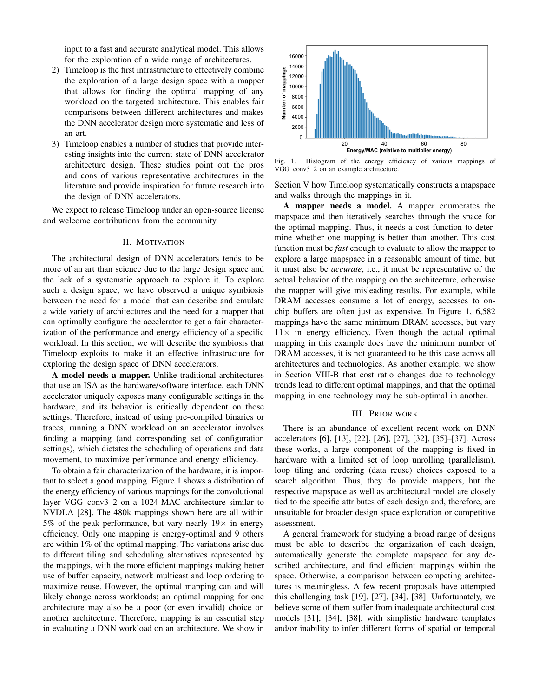input to a fast and accurate analytical model. This allows for the exploration of a wide range of architectures.

- 2) Timeloop is the first infrastructure to effectively combine the exploration of a large design space with a mapper that allows for finding the optimal mapping of any workload on the targeted architecture. This enables fair comparisons between different architectures and makes the DNN accelerator design more systematic and less of an art.
- 3) Timeloop enables a number of studies that provide interesting insights into the current state of DNN accelerator architecture design. These studies point out the pros and cons of various representative architectures in the literature and provide inspiration for future research into the design of DNN accelerators.

We expect to release Timeloop under an open-source license and welcome contributions from the community.

#### II. MOTIVATION

The architectural design of DNN accelerators tends to be more of an art than science due to the large design space and the lack of a systematic approach to explore it. To explore such a design space, we have observed a unique symbiosis between the need for a model that can describe and emulate a wide variety of architectures and the need for a mapper that can optimally configure the accelerator to get a fair characterization of the performance and energy efficiency of a specific workload. In this section, we will describe the symbiosis that Timeloop exploits to make it an effective infrastructure for exploring the design space of DNN accelerators.

A model needs a mapper. Unlike traditional architectures that use an ISA as the hardware/software interface, each DNN accelerator uniquely exposes many configurable settings in the hardware, and its behavior is critically dependent on those settings. Therefore, instead of using pre-compiled binaries or traces, running a DNN workload on an accelerator involves finding a mapping (and corresponding set of configuration settings), which dictates the scheduling of operations and data movement, to maximize performance and energy efficiency.

To obtain a fair characterization of the hardware, it is important to select a good mapping. Figure 1 shows a distribution of the energy efficiency of various mappings for the convolutional layer VGG\_conv3\_2 on a 1024-MAC architecture similar to NVDLA [28]. The 480k mappings shown here are all within 5% of the peak performance, but vary nearly  $19\times$  in energy efficiency. Only one mapping is energy-optimal and 9 others are within 1% of the optimal mapping. The variations arise due to different tiling and scheduling alternatives represented by the mappings, with the more efficient mappings making better use of buffer capacity, network multicast and loop ordering to maximize reuse. However, the optimal mapping can and will likely change across workloads; an optimal mapping for one architecture may also be a poor (or even invalid) choice on another architecture. Therefore, mapping is an essential step in evaluating a DNN workload on an architecture. We show in



Fig. 1. Histogram of the energy efficiency of various mappings of VGG\_conv3\_2 on an example architecture.

Section V how Timeloop systematically constructs a mapspace and walks through the mappings in it.

A mapper needs a model. A mapper enumerates the mapspace and then iteratively searches through the space for the optimal mapping. Thus, it needs a cost function to determine whether one mapping is better than another. This cost function must be *fast* enough to evaluate to allow the mapper to explore a large mapspace in a reasonable amount of time, but it must also be *accurate*, i.e., it must be representative of the actual behavior of the mapping on the architecture, otherwise the mapper will give misleading results. For example, while DRAM accesses consume a lot of energy, accesses to onchip buffers are often just as expensive. In Figure 1, 6,582 mappings have the same minimum DRAM accesses, but vary  $11\times$  in energy efficiency. Even though the actual optimal mapping in this example does have the minimum number of DRAM accesses, it is not guaranteed to be this case across all architectures and technologies. As another example, we show in Section VIII-B that cost ratio changes due to technology trends lead to different optimal mappings, and that the optimal mapping in one technology may be sub-optimal in another.

#### III. PRIOR WORK

There is an abundance of excellent recent work on DNN accelerators [6], [13], [22], [26], [27], [32], [35]–[37]. Across these works, a large component of the mapping is fixed in hardware with a limited set of loop unrolling (parallelism), loop tiling and ordering (data reuse) choices exposed to a search algorithm. Thus, they do provide mappers, but the respective mapspace as well as architectural model are closely tied to the specific attributes of each design and, therefore, are unsuitable for broader design space exploration or competitive assessment.

A general framework for studying a broad range of designs must be able to describe the organization of each design, automatically generate the complete mapspace for any described architecture, and find efficient mappings within the space. Otherwise, a comparison between competing architectures is meaningless. A few recent proposals have attempted this challenging task [19], [27], [34], [38]. Unfortunately, we believe some of them suffer from inadequate architectural cost models [31], [34], [38], with simplistic hardware templates and/or inability to infer different forms of spatial or temporal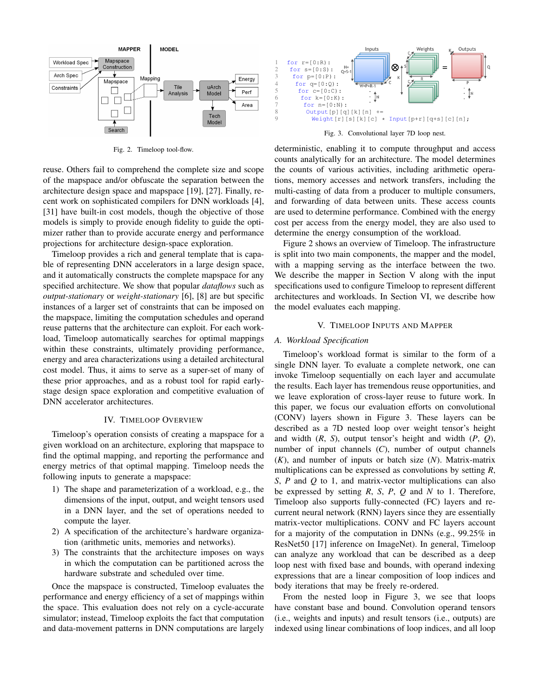

Fig. 2. Timeloop tool-flow.

reuse. Others fail to comprehend the complete size and scope of the mapspace and/or obfuscate the separation between the architecture design space and mapspace [19], [27]. Finally, recent work on sophisticated compilers for DNN workloads [4], [31] have built-in cost models, though the objective of those models is simply to provide enough fidelity to guide the optimizer rather than to provide accurate energy and performance projections for architecture design-space exploration.

Timeloop provides a rich and general template that is capable of representing DNN accelerators in a large design space, and it automatically constructs the complete mapspace for any specified architecture. We show that popular *dataflows* such as *output-stationary* or *weight-stationary* [6], [8] are but specific instances of a larger set of constraints that can be imposed on the mapspace, limiting the computation schedules and operand reuse patterns that the architecture can exploit. For each workload, Timeloop automatically searches for optimal mappings within these constraints, ultimately providing performance, energy and area characterizations using a detailed architectural cost model. Thus, it aims to serve as a super-set of many of these prior approaches, and as a robust tool for rapid earlystage design space exploration and competitive evaluation of DNN accelerator architectures.

#### IV. TIMELOOP OVERVIEW

Timeloop's operation consists of creating a mapspace for a given workload on an architecture, exploring that mapspace to find the optimal mapping, and reporting the performance and energy metrics of that optimal mapping. Timeloop needs the following inputs to generate a mapspace:

- 1) The shape and parameterization of a workload, e.g., the dimensions of the input, output, and weight tensors used in a DNN layer, and the set of operations needed to compute the layer.
- 2) A specification of the architecture's hardware organization (arithmetic units, memories and networks).
- 3) The constraints that the architecture imposes on ways in which the computation can be partitioned across the hardware substrate and scheduled over time.

Once the mapspace is constructed, Timeloop evaluates the performance and energy efficiency of a set of mappings within the space. This evaluation does not rely on a cycle-accurate simulator; instead, Timeloop exploits the fact that computation and data-movement patterns in DNN computations are largely



Fig. 3. Convolutional layer 7D loop nest.

deterministic, enabling it to compute throughput and access counts analytically for an architecture. The model determines the counts of various activities, including arithmetic operations, memory accesses and network transfers, including the multi-casting of data from a producer to multiple consumers, and forwarding of data between units. These access counts are used to determine performance. Combined with the energy cost per access from the energy model, they are also used to determine the energy consumption of the workload.

Figure 2 shows an overview of Timeloop. The infrastructure is split into two main components, the mapper and the model, with a mapping serving as the interface between the two. We describe the mapper in Section V along with the input specifications used to configure Timeloop to represent different architectures and workloads. In Section VI, we describe how the model evaluates each mapping.

# V. TIMELOOP INPUTS AND MAPPER

#### *A. Workload Specification*

Timeloop's workload format is similar to the form of a single DNN layer. To evaluate a complete network, one can invoke Timeloop sequentially on each layer and accumulate the results. Each layer has tremendous reuse opportunities, and we leave exploration of cross-layer reuse to future work. In this paper, we focus our evaluation efforts on convolutional (CONV) layers shown in Figure 3. These layers can be described as a 7D nested loop over weight tensor's height and width (*R*, *S*), output tensor's height and width (*P*, *Q*), number of input channels (*C*), number of output channels (*K*), and number of inputs or batch size (*N*). Matrix-matrix multiplications can be expressed as convolutions by setting *R*, *S*, *P* and *Q* to 1, and matrix-vector multiplications can also be expressed by setting *R*, *S*, *P*, *Q* and *N* to 1. Therefore, Timeloop also supports fully-connected (FC) layers and recurrent neural network (RNN) layers since they are essentially matrix-vector multiplications. CONV and FC layers account for a majority of the computation in DNNs (e.g., 99.25% in ResNet50 [17] inference on ImageNet). In general, Timeloop can analyze any workload that can be described as a deep loop nest with fixed base and bounds, with operand indexing expressions that are a linear composition of loop indices and body iterations that may be freely re-ordered.

From the nested loop in Figure 3, we see that loops have constant base and bound. Convolution operand tensors (i.e., weights and inputs) and result tensors (i.e., outputs) are indexed using linear combinations of loop indices, and all loop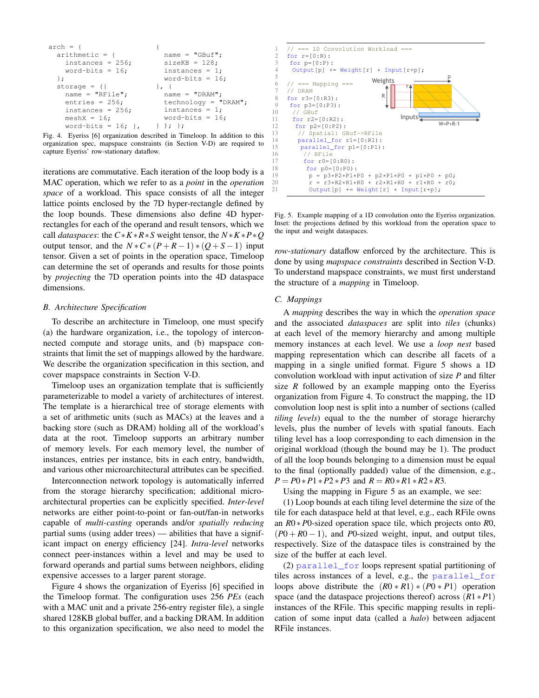| $arch = \{$          |                                           |
|----------------------|-------------------------------------------|
| $arithmetic = { }$   | $name = "GBuf";$                          |
| instances = $256$ ;  | $sizeKB = 128$ ;                          |
| word-bits = $16$ ;   | instances = $1;$                          |
| $\cdot$              | word-bits = $16$ ;                        |
| storage = $($        | $\left  \cdot \right $                    |
| $name = "RFile";$    | $name = "DRAM";$                          |
| entries = $256$ ;    | $technology = "DRAM";$                    |
| instances = $256$ ;  | instances = $1$ ;                         |
| $meshX = 16$ ;       | word-bits = $16$ ;                        |
| word-bits = $16;$ }, | $\rightarrow$ $\rightarrow$ $\rightarrow$ |



iterations are commutative. Each iteration of the loop body is a MAC operation, which we refer to as a *point* in the *operation space* of a workload. This space consists of all the integer lattice points enclosed by the 7D hyper-rectangle defined by the loop bounds. These dimensions also define 4D hyperrectangles for each of the operand and result tensors, which we call *dataspaces*: the *C*∗*K*∗*R*∗*S* weight tensor, the *N*∗*K*∗*P*∗*Q* output tensor, and the  $N * C * (P + R - 1) * (Q + S - 1)$  input tensor. Given a set of points in the operation space, Timeloop can determine the set of operands and results for those points by *projecting* the 7D operation points into the 4D dataspace dimensions.

## *B. Architecture Specification*

To describe an architecture in Timeloop, one must specify (a) the hardware organization, i.e., the topology of interconnected compute and storage units, and (b) mapspace constraints that limit the set of mappings allowed by the hardware. We describe the organization specification in this section, and cover mapspace constraints in Section V-D.

Timeloop uses an organization template that is sufficiently parameterizable to model a variety of architectures of interest. The template is a hierarchical tree of storage elements with a set of arithmetic units (such as MACs) at the leaves and a backing store (such as DRAM) holding all of the workload's data at the root. Timeloop supports an arbitrary number of memory levels. For each memory level, the number of instances, entries per instance, bits in each entry, bandwidth, and various other microarchitectural attributes can be specified.

Interconnection network topology is automatically inferred from the storage hierarchy specification; additional microarchitectural properties can be explicitly specified. *Inter-level* networks are either point-to-point or fan-out/fan-in networks capable of *multi-casting* operands and/or *spatially reducing* partial sums (using adder trees) — abilities that have a significant impact on energy efficiency [24]. *Intra-level* networks connect peer-instances within a level and may be used to forward operands and partial sums between neighbors, eliding expensive accesses to a larger parent storage.

Figure 4 shows the organization of Eyeriss [6] specified in the Timeloop format. The configuration uses 256 *PEs* (each with a MAC unit and a private 256-entry register file), a single shared 128KB global buffer, and a backing DRAM. In addition to this organization specification, we also need to model the



Fig. 5. Example mapping of a 1D convolution onto the Eyeriss organization. Inset: the projections defined by this workload from the operation space to the input and weight dataspaces.

*row-stationary* dataflow enforced by the architecture. This is done by using *mapspace constraints* described in Section V-D. To understand mapspace constraints, we must first understand the structure of a *mapping* in Timeloop.

#### *C. Mappings*

A *mapping* describes the way in which the *operation space* and the associated *dataspaces* are split into *tiles* (chunks) at each level of the memory hierarchy and among multiple memory instances at each level. We use a *loop nest* based mapping representation which can describe all facets of a mapping in a single unified format. Figure 5 shows a 1D convolution workload with input activation of size *P* and filter size *R* followed by an example mapping onto the Eyeriss organization from Figure 4. To construct the mapping, the 1D convolution loop nest is split into a number of sections (called *tiling levels*) equal to the the number of storage hierarchy levels, plus the number of levels with spatial fanouts. Each tiling level has a loop corresponding to each dimension in the original workload (though the bound may be 1). The product of all the loop bounds belonging to a dimension must be equal to the final (optionally padded) value of the dimension, e.g.,  $P = P0 * P1 * P2 * P3$  and  $R = R0 * R1 * R2 * R3$ .

Using the mapping in Figure 5 as an example, we see:

(1) Loop bounds at each tiling level determine the size of the tile for each dataspace held at that level, e.g., each RFile owns an *R*0 ∗*P*0-sized operation space tile, which projects onto *R*0,  $(P0 + R0 - 1)$ , and *P*0-sized weight, input, and output tiles, respectively. Size of the dataspace tiles is constrained by the size of the buffer at each level.

(2) parallel\_for loops represent spatial partitioning of tiles across instances of a level, e.g., the parallel\_for loops above distribute the  $(R0 * R1) * (P0 * P1)$  operation space (and the dataspace projections thereof) across (*R*1∗*P*1) instances of the RFile. This specific mapping results in replication of some input data (called a *halo*) between adjacent RFile instances.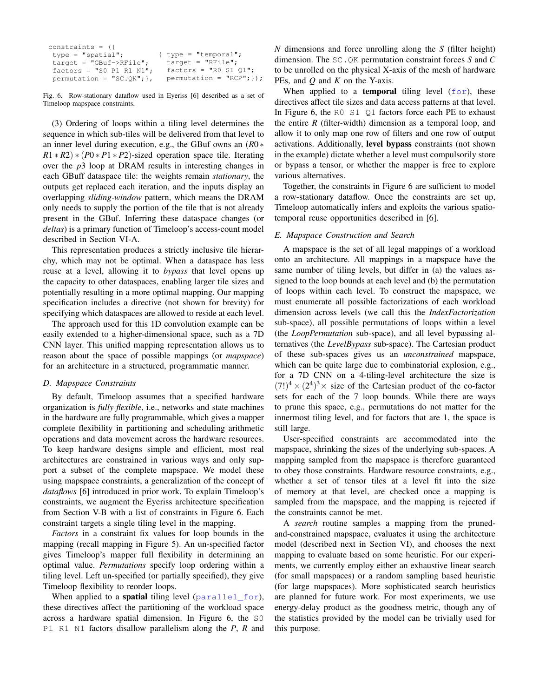```
constants = ({
type = "spatial";\frac{1}{1} target = "GBuf->RFile";
factors = "S0 P1 R1 N1":permutation = "SC.QK";{ type = "temporal";
                             target = "RFile";factors = "R0 S1 O1";permutation = "RCP";});
```
Fig. 6. Row-stationary dataflow used in Eyeriss [6] described as a set of Timeloop mapspace constraints.

(3) Ordering of loops within a tiling level determines the sequence in which sub-tiles will be delivered from that level to an inner level during execution, e.g., the GBuf owns an (*R*0 ∗ *R*1 ∗ *R*2) ∗ (*P*0 ∗ *P*1 ∗ *P*2)-sized operation space tile. Iterating over the *p*3 loop at DRAM results in interesting changes in each GBuff dataspace tile: the weights remain *stationary*, the outputs get replaced each iteration, and the inputs display an overlapping *sliding-window* pattern, which means the DRAM only needs to supply the portion of the tile that is not already present in the GBuf. Inferring these dataspace changes (or *deltas*) is a primary function of Timeloop's access-count model described in Section VI-A.

This representation produces a strictly inclusive tile hierarchy, which may not be optimal. When a dataspace has less reuse at a level, allowing it to *bypass* that level opens up the capacity to other dataspaces, enabling larger tile sizes and potentially resulting in a more optimal mapping. Our mapping specification includes a directive (not shown for brevity) for specifying which dataspaces are allowed to reside at each level.

The approach used for this 1D convolution example can be easily extended to a higher-dimensional space, such as a 7D CNN layer. This unified mapping representation allows us to reason about the space of possible mappings (or *mapspace*) for an architecture in a structured, programmatic manner.

#### *D. Mapspace Constraints*

By default, Timeloop assumes that a specified hardware organization is *fully flexible*, i.e., networks and state machines in the hardware are fully programmable, which gives a mapper complete flexibility in partitioning and scheduling arithmetic operations and data movement across the hardware resources. To keep hardware designs simple and efficient, most real architectures are constrained in various ways and only support a subset of the complete mapspace. We model these using mapspace constraints, a generalization of the concept of *dataflows* [6] introduced in prior work. To explain Timeloop's constraints, we augment the Eyeriss architecture specification from Section V-B with a list of constraints in Figure 6. Each constraint targets a single tiling level in the mapping.

*Factors* in a constraint fix values for loop bounds in the mapping (recall mapping in Figure 5). An un-specified factor gives Timeloop's mapper full flexibility in determining an optimal value. *Permutations* specify loop ordering within a tiling level. Left un-specified (or partially specified), they give Timeloop flexibility to reorder loops.

When applied to a **spatial** tiling level  $(\text{parallel\_for})$ , these directives affect the partitioning of the workload space across a hardware spatial dimension. In Figure 6, the S0 P1 R1 N1 factors disallow parallelism along the *P*, *R* and *N* dimensions and force unrolling along the *S* (filter height) dimension. The SC.QK permutation constraint forces *S* and *C* to be unrolled on the physical X-axis of the mesh of hardware PEs, and *Q* and *K* on the Y-axis.

When applied to a **temporal** tiling level  $(f \circ r)$ , these directives affect tile sizes and data access patterns at that level. In Figure 6, the R<sub>0</sub> S<sub>1</sub> Q<sub>1</sub> factors force each PE to exhaust the entire  $R$  (filter-width) dimension as a temporal loop, and allow it to only map one row of filters and one row of output activations. Additionally, level bypass constraints (not shown in the example) dictate whether a level must compulsorily store or bypass a tensor, or whether the mapper is free to explore various alternatives.

Together, the constraints in Figure 6 are sufficient to model a row-stationary dataflow. Once the constraints are set up, Timeloop automatically infers and exploits the various spatiotemporal reuse opportunities described in [6].

# *E. Mapspace Construction and Search*

A mapspace is the set of all legal mappings of a workload onto an architecture. All mappings in a mapspace have the same number of tiling levels, but differ in (a) the values assigned to the loop bounds at each level and (b) the permutation of loops within each level. To construct the mapspace, we must enumerate all possible factorizations of each workload dimension across levels (we call this the *IndexFactorization* sub-space), all possible permutations of loops within a level (the *LoopPermutation* sub-space), and all level bypassing alternatives (the *LevelBypass* sub-space). The Cartesian product of these sub-spaces gives us an *unconstrained* mapspace, which can be quite large due to combinatorial explosion, e.g., for a 7D CNN on a 4-tiling-level architecture the size is  $(7!)^4 \times (2^4)^3 \times$  size of the Cartesian product of the co-factor sets for each of the 7 loop bounds. While there are ways to prune this space, e.g., permutations do not matter for the innermost tiling level, and for factors that are 1, the space is still large.

User-specified constraints are accommodated into the mapspace, shrinking the sizes of the underlying sub-spaces. A mapping sampled from the mapspace is therefore guaranteed to obey those constraints. Hardware resource constraints, e.g., whether a set of tensor tiles at a level fit into the size of memory at that level, are checked once a mapping is sampled from the mapspace, and the mapping is rejected if the constraints cannot be met.

A *search* routine samples a mapping from the prunedand-constrained mapspace, evaluates it using the architecture model (described next in Section VI), and chooses the next mapping to evaluate based on some heuristic. For our experiments, we currently employ either an exhaustive linear search (for small mapspaces) or a random sampling based heuristic (for large mapspaces). More sophisticated search heuristics are planned for future work. For most experiments, we use energy-delay product as the goodness metric, though any of the statistics provided by the model can be trivially used for this purpose.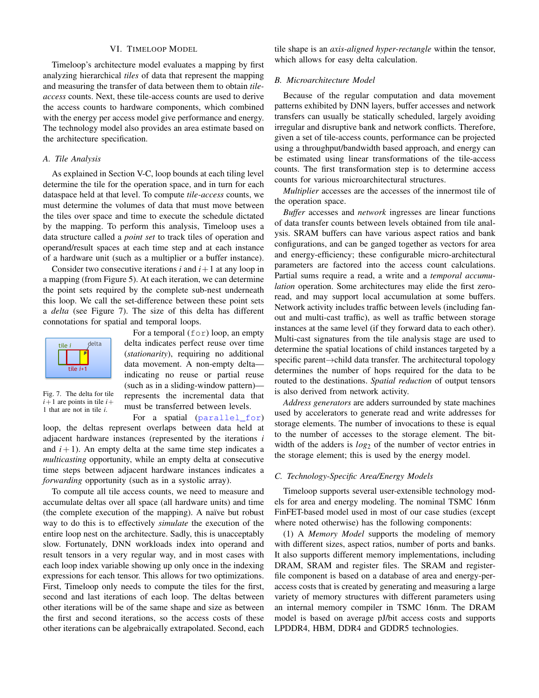#### VI. TIMELOOP MODEL

Timeloop's architecture model evaluates a mapping by first analyzing hierarchical *tiles* of data that represent the mapping and measuring the transfer of data between them to obtain *tileaccess* counts. Next, these tile-access counts are used to derive the access counts to hardware components, which combined with the energy per access model give performance and energy. The technology model also provides an area estimate based on the architecture specification.

# *A. Tile Analysis*

As explained in Section V-C, loop bounds at each tiling level determine the tile for the operation space, and in turn for each dataspace held at that level. To compute *tile-access* counts, we must determine the volumes of data that must move between the tiles over space and time to execute the schedule dictated by the mapping. To perform this analysis, Timeloop uses a data structure called a *point set* to track tiles of operation and operand/result spaces at each time step and at each instance of a hardware unit (such as a multiplier or a buffer instance).

Consider two consecutive iterations  $i$  and  $i+1$  at any loop in a mapping (from Figure 5). At each iteration, we can determine the point sets required by the complete sub-nest underneath this loop. We call the set-difference between these point sets a *delta* (see Figure 7). The size of this delta has different connotations for spatial and temporal loops.

| tile <i>i</i> |            | delta |
|---------------|------------|-------|
|               |            |       |
|               | tile $i+1$ |       |

Fig. 7. The delta for tile

delta indicates perfect reuse over time (*stationarity*), requiring no additional data movement. A non-empty delta indicating no reuse or partial reuse (such as in a sliding-window pattern) represents the incremental data that must be transferred between levels.

For a temporal  $(f \circ r)$  loop, an empty

 $i+1$  are points in tile  $i+$ 1 that are not in tile *i*.

For a spatial (parallel\_for) loop, the deltas represent overlaps between data held at adjacent hardware instances (represented by the iterations *i* and  $i+1$ ). An empty delta at the same time step indicates a *multicasting* opportunity, while an empty delta at consecutive time steps between adjacent hardware instances indicates a *forwarding* opportunity (such as in a systolic array).

To compute all tile access counts, we need to measure and accumulate deltas over all space (all hardware units) and time (the complete execution of the mapping). A naïve but robust way to do this is to effectively *simulate* the execution of the entire loop nest on the architecture. Sadly, this is unacceptably slow. Fortunately, DNN workloads index into operand and result tensors in a very regular way, and in most cases with each loop index variable showing up only once in the indexing expressions for each tensor. This allows for two optimizations. First, Timeloop only needs to compute the tiles for the first, second and last iterations of each loop. The deltas between other iterations will be of the same shape and size as between the first and second iterations, so the access costs of these other iterations can be algebraically extrapolated. Second, each

tile shape is an *axis-aligned hyper-rectangle* within the tensor, which allows for easy delta calculation.

#### *B. Microarchitecture Model*

Because of the regular computation and data movement patterns exhibited by DNN layers, buffer accesses and network transfers can usually be statically scheduled, largely avoiding irregular and disruptive bank and network conflicts. Therefore, given a set of tile-access counts, performance can be projected using a throughput/bandwidth based approach, and energy can be estimated using linear transformations of the tile-access counts. The first transformation step is to determine access counts for various microarchitectural structures.

*Multiplier* accesses are the accesses of the innermost tile of the operation space.

*Buffer* accesses and *network* ingresses are linear functions of data transfer counts between levels obtained from tile analysis. SRAM buffers can have various aspect ratios and bank configurations, and can be ganged together as vectors for area and energy-efficiency; these configurable micro-architectural parameters are factored into the access count calculations. Partial sums require a read, a write and a *temporal accumulation* operation. Some architectures may elide the first zeroread, and may support local accumulation at some buffers. Network activity includes traffic between levels (including fanout and multi-cast traffic), as well as traffic between storage instances at the same level (if they forward data to each other). Multi-cast signatures from the tile analysis stage are used to determine the spatial locations of child instances targeted by a specific parent→child data transfer. The architectural topology determines the number of hops required for the data to be routed to the destinations. *Spatial reduction* of output tensors is also derived from network activity.

*Address generators* are adders surrounded by state machines used by accelerators to generate read and write addresses for storage elements. The number of invocations to these is equal to the number of accesses to the storage element. The bitwidth of the adders is *log*<sup>2</sup> of the number of vector entries in the storage element; this is used by the energy model.

# *C. Technology-Specific Area/Energy Models*

Timeloop supports several user-extensible technology models for area and energy modeling. The nominal TSMC 16nm FinFET-based model used in most of our case studies (except where noted otherwise) has the following components:

(1) A *Memory Model* supports the modeling of memory with different sizes, aspect ratios, number of ports and banks. It also supports different memory implementations, including DRAM, SRAM and register files. The SRAM and registerfile component is based on a database of area and energy-peraccess costs that is created by generating and measuring a large variety of memory structures with different parameters using an internal memory compiler in TSMC 16nm. The DRAM model is based on average pJ/bit access costs and supports LPDDR4, HBM, DDR4 and GDDR5 technologies.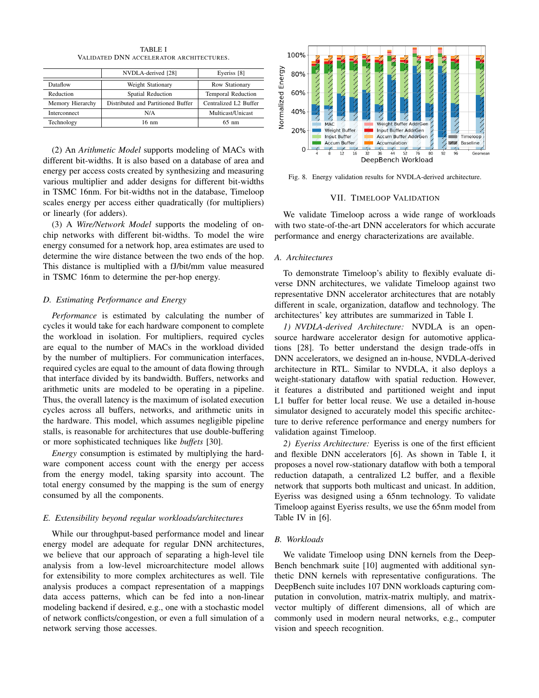TABLE I VALIDATED DNN ACCELERATOR ARCHITECTURES.

|                  | NVDLA-derived [28]                 | Eyeriss <sup>[8]</sup>    |
|------------------|------------------------------------|---------------------------|
| Dataflow         | Weight Stationary                  | Row Stationary            |
| Reduction        | Spatial Reduction                  | <b>Temporal Reduction</b> |
| Memory Hierarchy | Distributed and Partitioned Buffer | Centralized L2 Buffer     |
| Interconnect     | N/A                                | Multicast/Unicast         |
| Technology       | $16 \text{ nm}$                    | 65 nm                     |

(2) An *Arithmetic Model* supports modeling of MACs with different bit-widths. It is also based on a database of area and energy per access costs created by synthesizing and measuring various multiplier and adder designs for different bit-widths in TSMC 16nm. For bit-widths not in the database, Timeloop scales energy per access either quadratically (for multipliers) or linearly (for adders).

(3) A *Wire/Network Model* supports the modeling of onchip networks with different bit-widths. To model the wire energy consumed for a network hop, area estimates are used to determine the wire distance between the two ends of the hop. This distance is multiplied with a fJ/bit/mm value measured in TSMC 16nm to determine the per-hop energy.

## *D. Estimating Performance and Energy*

*Performance* is estimated by calculating the number of cycles it would take for each hardware component to complete the workload in isolation. For multipliers, required cycles are equal to the number of MACs in the workload divided by the number of multipliers. For communication interfaces, required cycles are equal to the amount of data flowing through that interface divided by its bandwidth. Buffers, networks and arithmetic units are modeled to be operating in a pipeline. Thus, the overall latency is the maximum of isolated execution cycles across all buffers, networks, and arithmetic units in the hardware. This model, which assumes negligible pipeline stalls, is reasonable for architectures that use double-buffering or more sophisticated techniques like *buffets* [30].

*Energy* consumption is estimated by multiplying the hardware component access count with the energy per access from the energy model, taking sparsity into account. The total energy consumed by the mapping is the sum of energy consumed by all the components.

# *E. Extensibility beyond regular workloads/architectures*

While our throughput-based performance model and linear energy model are adequate for regular DNN architectures, we believe that our approach of separating a high-level tile analysis from a low-level microarchitecture model allows for extensibility to more complex architectures as well. Tile analysis produces a compact representation of a mappings data access patterns, which can be fed into a non-linear modeling backend if desired, e.g., one with a stochastic model of network conflicts/congestion, or even a full simulation of a network serving those accesses.



Fig. 8. Energy validation results for NVDLA-derived architecture.

#### VII. TIMELOOP VALIDATION

We validate Timeloop across a wide range of workloads with two state-of-the-art DNN accelerators for which accurate performance and energy characterizations are available.

#### *A. Architectures*

To demonstrate Timeloop's ability to flexibly evaluate diverse DNN architectures, we validate Timeloop against two representative DNN accelerator architectures that are notably different in scale, organization, dataflow and technology. The architectures' key attributes are summarized in Table I.

*1) NVDLA-derived Architecture:* NVDLA is an opensource hardware accelerator design for automotive applications [28]. To better understand the design trade-offs in DNN accelerators, we designed an in-house, NVDLA-derived architecture in RTL. Similar to NVDLA, it also deploys a weight-stationary dataflow with spatial reduction. However, it features a distributed and partitioned weight and input L1 buffer for better local reuse. We use a detailed in-house simulator designed to accurately model this specific architecture to derive reference performance and energy numbers for validation against Timeloop.

*2) Eyeriss Architecture:* Eyeriss is one of the first efficient and flexible DNN accelerators [6]. As shown in Table I, it proposes a novel row-stationary dataflow with both a temporal reduction datapath, a centralized L2 buffer, and a flexible network that supports both multicast and unicast. In addition, Eyeriss was designed using a 65nm technology. To validate Timeloop against Eyeriss results, we use the 65nm model from Table IV in [6].

# *B. Workloads*

We validate Timeloop using DNN kernels from the Deep-Bench benchmark suite [10] augmented with additional synthetic DNN kernels with representative configurations. The DeepBench suite includes 107 DNN workloads capturing computation in convolution, matrix-matrix multiply, and matrixvector multiply of different dimensions, all of which are commonly used in modern neural networks, e.g., computer vision and speech recognition.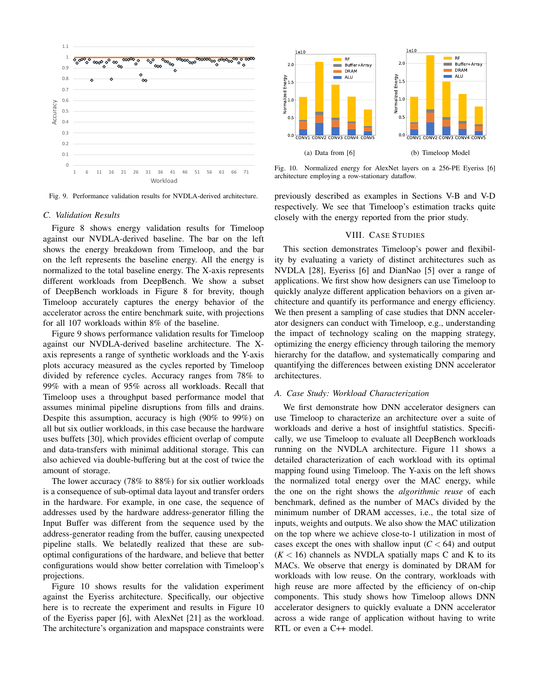

Fig. 9. Performance validation results for NVDLA-derived architecture.

#### *C. Validation Results*

Figure 8 shows energy validation results for Timeloop against our NVDLA-derived baseline. The bar on the left shows the energy breakdown from Timeloop, and the bar on the left represents the baseline energy. All the energy is normalized to the total baseline energy. The X-axis represents different workloads from DeepBench. We show a subset of DeepBench workloads in Figure 8 for brevity, though Timeloop accurately captures the energy behavior of the accelerator across the entire benchmark suite, with projections for all 107 workloads within 8% of the baseline.

Figure 9 shows performance validation results for Timeloop against our NVDLA-derived baseline architecture. The Xaxis represents a range of synthetic workloads and the Y-axis plots accuracy measured as the cycles reported by Timeloop divided by reference cycles. Accuracy ranges from 78% to 99% with a mean of 95% across all workloads. Recall that Timeloop uses a throughput based performance model that assumes minimal pipeline disruptions from fills and drains. Despite this assumption, accuracy is high (90% to 99%) on all but six outlier workloads, in this case because the hardware uses buffets [30], which provides efficient overlap of compute and data-transfers with minimal additional storage. This can also achieved via double-buffering but at the cost of twice the amount of storage.

The lower accuracy (78% to 88%) for six outlier workloads is a consequence of sub-optimal data layout and transfer orders in the hardware. For example, in one case, the sequence of addresses used by the hardware address-generator filling the Input Buffer was different from the sequence used by the address-generator reading from the buffer, causing unexpected pipeline stalls. We belatedly realized that these are suboptimal configurations of the hardware, and believe that better configurations would show better correlation with Timeloop's projections.

Figure 10 shows results for the validation experiment against the Eyeriss architecture. Specifically, our objective here is to recreate the experiment and results in Figure 10 of the Eyeriss paper [6], with AlexNet [21] as the workload. The architecture's organization and mapspace constraints were



Fig. 10. Normalized energy for AlexNet layers on a 256-PE Eyeriss [6] architecture employing a row-stationary dataflow.

previously described as examples in Sections V-B and V-D respectively. We see that Timeloop's estimation tracks quite closely with the energy reported from the prior study.

# VIII. CASE STUDIES

This section demonstrates Timeloop's power and flexibility by evaluating a variety of distinct architectures such as NVDLA [28], Eyeriss [6] and DianNao [5] over a range of applications. We first show how designers can use Timeloop to quickly analyze different application behaviors on a given architecture and quantify its performance and energy efficiency. We then present a sampling of case studies that DNN accelerator designers can conduct with Timeloop, e.g., understanding the impact of technology scaling on the mapping strategy, optimizing the energy efficiency through tailoring the memory hierarchy for the dataflow, and systematically comparing and quantifying the differences between existing DNN accelerator architectures.

## *A. Case Study: Workload Characterization*

We first demonstrate how DNN accelerator designers can use Timeloop to characterize an architecture over a suite of workloads and derive a host of insightful statistics. Specifically, we use Timeloop to evaluate all DeepBench workloads running on the NVDLA architecture. Figure 11 shows a detailed characterization of each workload with its optimal mapping found using Timeloop. The Y-axis on the left shows the normalized total energy over the MAC energy, while the one on the right shows the *algorithmic reuse* of each benchmark, defined as the number of MACs divided by the minimum number of DRAM accesses, i.e., the total size of inputs, weights and outputs. We also show the MAC utilization on the top where we achieve close-to-1 utilization in most of cases except the ones with shallow input  $(C < 64)$  and output  $(K < 16)$  channels as NVDLA spatially maps C and K to its MACs. We observe that energy is dominated by DRAM for workloads with low reuse. On the contrary, workloads with high reuse are more affected by the efficiency of on-chip components. This study shows how Timeloop allows DNN accelerator designers to quickly evaluate a DNN accelerator across a wide range of application without having to write RTL or even a C++ model.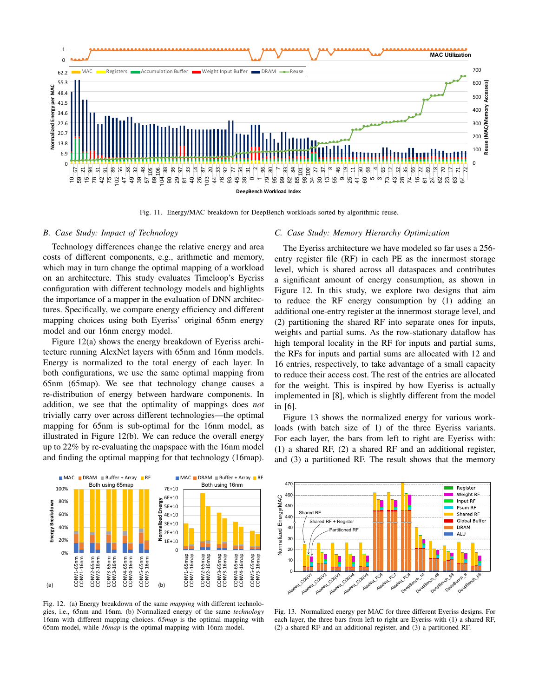

Fig. 11. Energy/MAC breakdown for DeepBench workloads sorted by algorithmic reuse.

# *B. Case Study: Impact of Technology*

Technology differences change the relative energy and area costs of different components, e.g., arithmetic and memory, which may in turn change the optimal mapping of a workload on an architecture. This study evaluates Timeloop's Eyeriss configuration with different technology models and highlights the importance of a mapper in the evaluation of DNN architectures. Specifically, we compare energy efficiency and different mapping choices using both Eyeriss' original 65nm energy model and our 16nm energy model.

Figure 12(a) shows the energy breakdown of Eyeriss architecture running AlexNet layers with 65nm and 16nm models. Energy is normalized to the total energy of each layer. In both configurations, we use the same optimal mapping from 65nm (65map). We see that technology change causes a re-distribution of energy between hardware components. In addition, we see that the optimality of mappings does *not* trivially carry over across different technologies—the optimal mapping for 65nm is sub-optimal for the 16nm model, as illustrated in Figure 12(b). We can reduce the overall energy up to 22% by re-evaluating the mapspace with the 16nm model and finding the optimal mapping for that technology (16map).

#### *C. Case Study: Memory Hierarchy Optimization*

The Eyeriss architecture we have modeled so far uses a 256 entry register file (RF) in each PE as the innermost storage level, which is shared across all dataspaces and contributes a significant amount of energy consumption, as shown in Figure 12. In this study, we explore two designs that aim to reduce the RF energy consumption by (1) adding an additional one-entry register at the innermost storage level, and (2) partitioning the shared RF into separate ones for inputs, weights and partial sums. As the row-stationary dataflow has high temporal locality in the RF for inputs and partial sums, the RFs for inputs and partial sums are allocated with 12 and 16 entries, respectively, to take advantage of a small capacity to reduce their access cost. The rest of the entries are allocated for the weight. This is inspired by how Eyeriss is actually implemented in [8], which is slightly different from the model in [6].

Figure 13 shows the normalized energy for various workloads (with batch size of 1) of the three Eyeriss variants. For each layer, the bars from left to right are Eyeriss with: (1) a shared RF, (2) a shared RF and an additional register, and (3) a partitioned RF. The result shows that the memory



Fig. 12. (a) Energy breakdown of the same *mapping* with different technologies, i.e., 65nm and 16nm. (b) Normalized energy of the same *technology* 16nm with different mapping choices. *65map* is the optimal mapping with 65nm model, while *16map* is the optimal mapping with 16nm model.



Fig. 13. Normalized energy per MAC for three different Eyeriss designs. For each layer, the three bars from left to right are Eyeriss with (1) a shared RF, (2) a shared RF and an additional register, and (3) a partitioned RF.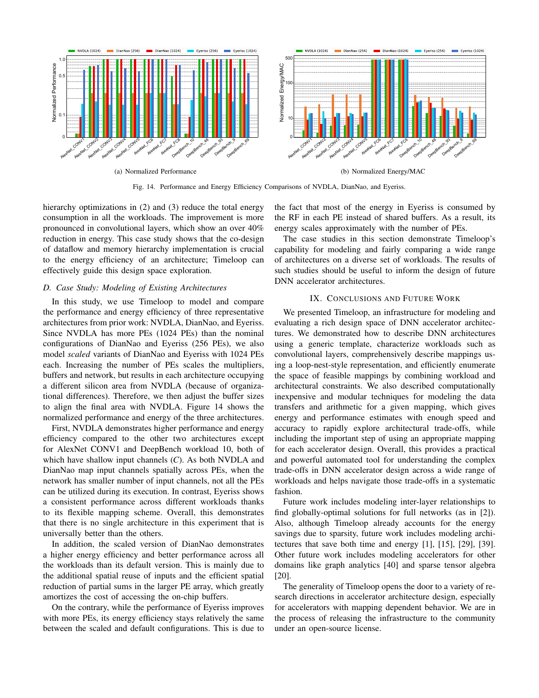

Fig. 14. Performance and Energy Efficiency Comparisons of NVDLA, DianNao, and Eyeriss.

hierarchy optimizations in (2) and (3) reduce the total energy consumption in all the workloads. The improvement is more pronounced in convolutional layers, which show an over 40% reduction in energy. This case study shows that the co-design of dataflow and memory hierarchy implementation is crucial to the energy efficiency of an architecture; Timeloop can effectively guide this design space exploration.

#### *D. Case Study: Modeling of Existing Architectures*

In this study, we use Timeloop to model and compare the performance and energy efficiency of three representative architectures from prior work: NVDLA, DianNao, and Eyeriss. Since NVDLA has more PEs (1024 PEs) than the nominal configurations of DianNao and Eyeriss (256 PEs), we also model *scaled* variants of DianNao and Eyeriss with 1024 PEs each. Increasing the number of PEs scales the multipliers, buffers and network, but results in each architecture occupying a different silicon area from NVDLA (because of organizational differences). Therefore, we then adjust the buffer sizes to align the final area with NVDLA. Figure 14 shows the normalized performance and energy of the three architectures.

First, NVDLA demonstrates higher performance and energy efficiency compared to the other two architectures except for AlexNet CONV1 and DeepBench workload 10, both of which have shallow input channels (*C*). As both NVDLA and DianNao map input channels spatially across PEs, when the network has smaller number of input channels, not all the PEs can be utilized during its execution. In contrast, Eyeriss shows a consistent performance across different workloads thanks to its flexible mapping scheme. Overall, this demonstrates that there is no single architecture in this experiment that is universally better than the others.

In addition, the scaled version of DianNao demonstrates a higher energy efficiency and better performance across all the workloads than its default version. This is mainly due to the additional spatial reuse of inputs and the efficient spatial reduction of partial sums in the larger PE array, which greatly amortizes the cost of accessing the on-chip buffers.

On the contrary, while the performance of Eyeriss improves with more PEs, its energy efficiency stays relatively the same between the scaled and default configurations. This is due to the fact that most of the energy in Eyeriss is consumed by the RF in each PE instead of shared buffers. As a result, its energy scales approximately with the number of PEs.

The case studies in this section demonstrate Timeloop's capability for modeling and fairly comparing a wide range of architectures on a diverse set of workloads. The results of such studies should be useful to inform the design of future DNN accelerator architectures.

## IX. CONCLUSIONS AND FUTURE WORK

We presented Timeloop, an infrastructure for modeling and evaluating a rich design space of DNN accelerator architectures. We demonstrated how to describe DNN architectures using a generic template, characterize workloads such as convolutional layers, comprehensively describe mappings using a loop-nest-style representation, and efficiently enumerate the space of feasible mappings by combining workload and architectural constraints. We also described computationally inexpensive and modular techniques for modeling the data transfers and arithmetic for a given mapping, which gives energy and performance estimates with enough speed and accuracy to rapidly explore architectural trade-offs, while including the important step of using an appropriate mapping for each accelerator design. Overall, this provides a practical and powerful automated tool for understanding the complex trade-offs in DNN accelerator design across a wide range of workloads and helps navigate those trade-offs in a systematic fashion.

Future work includes modeling inter-layer relationships to find globally-optimal solutions for full networks (as in [2]). Also, although Timeloop already accounts for the energy savings due to sparsity, future work includes modeling architectures that save both time and energy [1], [15], [29], [39]. Other future work includes modeling accelerators for other domains like graph analytics [40] and sparse tensor algebra [20].

The generality of Timeloop opens the door to a variety of research directions in accelerator architecture design, especially for accelerators with mapping dependent behavior. We are in the process of releasing the infrastructure to the community under an open-source license.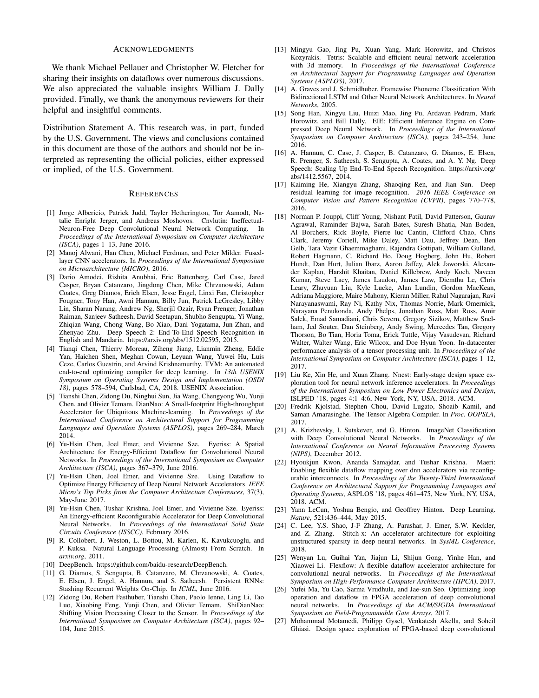#### ACKNOWLEDGMENTS

We thank Michael Pellauer and Christopher W. Fletcher for sharing their insights on dataflows over numerous discussions. We also appreciated the valuable insights William J. Dally provided. Finally, we thank the anonymous reviewers for their helpful and insightful comments.

Distribution Statement A. This research was, in part, funded by the U.S. Government. The views and conclusions contained in this document are those of the authors and should not be interpreted as representing the official policies, either expressed or implied, of the U.S. Government.

#### REFERENCES

- [1] Jorge Albericio, Patrick Judd, Tayler Hetherington, Tor Aamodt, Natalie Enright Jerger, and Andreas Moshovos. Cnvlutin: Ineffectual-Neuron-Free Deep Convolutional Neural Network Computing. In *Proceedings of the International Symposium on Computer Architecture (ISCA)*, pages 1–13, June 2016.
- [2] Manoj Alwani, Han Chen, Michael Ferdman, and Peter Milder. Fusedlayer CNN accelerators. In *Proceedings of the International Symposium on Microarchitecture (MICRO)*, 2016.
- [3] Dario Amodei, Rishita Anubhai, Eric Battenberg, Carl Case, Jared Casper, Bryan Catanzaro, Jingdong Chen, Mike Chrzanowski, Adam Coates, Greg Diamos, Erich Elsen, Jesse Engel, Linxi Fan, Christopher Fougner, Tony Han, Awni Hannun, Billy Jun, Patrick LeGresley, Libby Lin, Sharan Narang, Andrew Ng, Sherjil Ozair, Ryan Prenger, Jonathan Raiman, Sanjeev Satheesh, David Seetapun, Shubho Sengupta, Yi Wang, Zhiqian Wang, Chong Wang, Bo Xiao, Dani Yogatama, Jun Zhan, and Zhenyao Zhu. Deep Speech 2: End-To-End Speech Recognition in English and Mandarin. https://arxiv.org/abs/1512.02595, 2015.
- [4] Tianqi Chen, Thierry Moreau, Ziheng Jiang, Lianmin Zheng, Eddie Yan, Haichen Shen, Meghan Cowan, Leyuan Wang, Yuwei Hu, Luis Ceze, Carlos Guestrin, and Arvind Krishnamurthy. TVM: An automated end-to-end optimizing compiler for deep learning. In *13th USENIX Symposium on Operating Systems Design and Implementation (OSDI 18)*, pages 578–594, Carlsbad, CA, 2018. USENIX Association.
- [5] Tianshi Chen, Zidong Du, Ninghui Sun, Jia Wang, Chengyong Wu, Yunji Chen, and Olivier Temam. DianNao: A Small-footprint High-throughput Accelerator for Ubiquitous Machine-learning. In *Proceedings of the International Conference on Architectural Support for Programming Languages and Operation Systems (ASPLOS)*, pages 269–284, March 2014.
- [6] Yu-Hsin Chen, Joel Emer, and Vivienne Sze. Eyeriss: A Spatial Architecture for Energy-Efficient Dataflow for Convolutional Neural Networks. In *Proceedings of the International Symposium on Computer Architecture (ISCA)*, pages 367–379, June 2016.
- [7] Yu-Hsin Chen, Joel Emer, and Vivienne Sze. Using Dataflow to Optimize Energy Efficiency of Deep Neural Network Accelerators. *IEEE Micro's Top Picks from the Computer Architecture Conferences*, 37(3), May-June 2017.
- [8] Yu-Hsin Chen, Tushar Krishna, Joel Emer, and Vivienne Sze. Eyeriss: An Energy-efficient Reconfigurable Accelerator for Deep Convolutional Neural Networks. In *Proceedings of the International Solid State Circuits Conference (ISSCC)*, February 2016.
- [9] R. Collobert, J. Weston, L. Bottou, M. Karlen, K. Kavukcuoglu, and P. Kuksa. Natural Language Processing (Almost) From Scratch. In *arxiv.org*, 2011.
- [10] DeepBench. https://github.com/baidu-research/DeepBench.
- [11] G. Diamos, S. Sengupta, B. Catanzaro, M. Chrzanowski, A. Coates, E. Elsen, J. Engel, A. Hannun, and S. Satheesh. Persistent RNNs: Stashing Recurrent Weights On-Chip. In *ICML*, June 2016.
- [12] Zidong Du, Robert Fasthuber, Tianshi Chen, Paolo Ienne, Ling Li, Tao Luo, Xiaobing Feng, Yunji Chen, and Olivier Temam. ShiDianNao: Shifting Vision Processing Closer to the Sensor. In *Proceedings of the International Symposium on Computer Architecture (ISCA)*, pages 92– 104, June 2015.
- [13] Mingyu Gao, Jing Pu, Xuan Yang, Mark Horowitz, and Christos Kozyrakis. Tetris: Scalable and efficient neural network acceleration with 3d memory. In *Proceedings of the International Conference on Architectural Support for Programming Languages and Operation Systems (ASPLOS)*, 2017.
- [14] A. Graves and J. Schmidhuber. Framewise Phoneme Classification With Bidirectional LSTM and Other Neural Network Architectures. In *Neural Networks*, 2005.
- [15] Song Han, Xingyu Liu, Huizi Mao, Jing Pu, Ardavan Pedram, Mark Horowitz, and Bill Dally. EIE: Efficient Inference Engine on Compressed Deep Neural Network. In *Proceedings of the International Symposium on Computer Architecture (ISCA)*, pages 243–254, June 2016.
- [16] A. Hannun, C. Case, J. Casper, B. Catanzaro, G. Diamos, E. Elsen, R. Prenger, S. Satheesh, S. Sengupta, A. Coates, and A. Y. Ng. Deep Speech: Scaling Up End-To-End Speech Recognition. https://arxiv.org/ abs/1412.5567, 2014.
- [17] Kaiming He, Xiangyu Zhang, Shaoqing Ren, and Jian Sun. Deep residual learning for image recognition. *2016 IEEE Conference on Computer Vision and Pattern Recognition (CVPR)*, pages 770–778, 2016.
- [18] Norman P. Jouppi, Cliff Young, Nishant Patil, David Patterson, Gaurav Agrawal, Raminder Bajwa, Sarah Bates, Suresh Bhatia, Nan Boden, Al Borchers, Rick Boyle, Pierre luc Cantin, Clifford Chao, Chris Clark, Jeremy Coriell, Mike Daley, Matt Dau, Jeffrey Dean, Ben Gelb, Tara Vazir Ghaemmaghami, Rajendra Gottipati, William Gulland, Robert Hagmann, C. Richard Ho, Doug Hogberg, John Hu, Robert Hundt, Dan Hurt, Julian Ibarz, Aaron Jaffey, Alek Jaworski, Alexander Kaplan, Harshit Khaitan, Daniel Killebrew, Andy Koch, Naveen Kumar, Steve Lacy, James Laudon, James Law, Diemthu Le, Chris Leary, Zhuyuan Liu, Kyle Lucke, Alan Lundin, Gordon MacKean, Adriana Maggiore, Maire Mahony, Kieran Miller, Rahul Nagarajan, Ravi Narayanaswami, Ray Ni, Kathy Nix, Thomas Norrie, Mark Omernick, Narayana Penukonda, Andy Phelps, Jonathan Ross, Matt Ross, Amir Salek, Emad Samadiani, Chris Severn, Gregory Sizikov, Matthew Snelham, Jed Souter, Dan Steinberg, Andy Swing, Mercedes Tan, Gregory Thorson, Bo Tian, Horia Toma, Erick Tuttle, Vijay Vasudevan, Richard Walter, Walter Wang, Eric Wilcox, and Doe Hyun Yoon. In-datacenter performance analysis of a tensor processing unit. In *Proceedings of the International Symposium on Computer Architecture (ISCA)*, pages 1–12, 2017.
- [19] Liu Ke, Xin He, and Xuan Zhang. Nnest: Early-stage design space exploration tool for neural network inference accelerators. In *Proceedings of the International Symposium on Low Power Electronics and Design*, ISLPED '18, pages 4:1–4:6, New York, NY, USA, 2018. ACM.
- [20] Fredrik Kjolstad, Stephen Chou, David Lugato, Shoaib Kamil, and Saman Amarasinghe. The Tensor Algebra Compiler. In *Proc. OOPSLA*, 2017.
- [21] A. Krizhevsky, I. Sutskever, and G. Hinton. ImageNet Classification with Deep Convolutional Neural Networks. In *Proceedings of the International Conference on Neural Information Processing Systems (NIPS)*, December 2012.
- [22] Hyoukjun Kwon, Ananda Samajdar, and Tushar Krishna. Maeri: Enabling flexible dataflow mapping over dnn accelerators via reconfigurable interconnects. In *Proceedings of the Twenty-Third International Conference on Architectural Support for Programming Languages and Operating Systems*, ASPLOS '18, pages 461–475, New York, NY, USA, 2018. ACM.
- [23] Yann LeCun, Yoshua Bengio, and Geoffrey Hinton. Deep Learning. *Nature*, 521:436–444, May 2015.
- [24] C. Lee, Y.S. Shao, J-F Zhang, A. Parashar, J. Emer, S.W. Keckler, and Z. Zhang. Stitch-x: An accelerator architecture for exploiting unstructured sparsity in deep neural networks. In *SysML Conference*, 2018.
- [25] Wenyan Lu, Guihai Yan, Jiajun Li, Shijun Gong, Yinhe Han, and Xiaowei Li. Flexflow: A flexible dataflow accelerator architecture for convolutional neural networks. In *Proceedings of the International Symposium on High-Performance Computer Architecture (HPCA)*, 2017.
- [26] Yufei Ma, Yu Cao, Sarma Vrudhula, and Jae-sun Seo. Optimizing loop operation and dataflow in FPGA acceleration of deep convolutional neural networks. In *Proceedings of the ACM/SIGDA International Symposium on Field-Programmable Gate Arrays*, 2017.
- [27] Mohammad Motamedi, Philipp Gysel, Venkatesh Akella, and Soheil Ghiasi. Design space exploration of FPGA-based deep convolutional